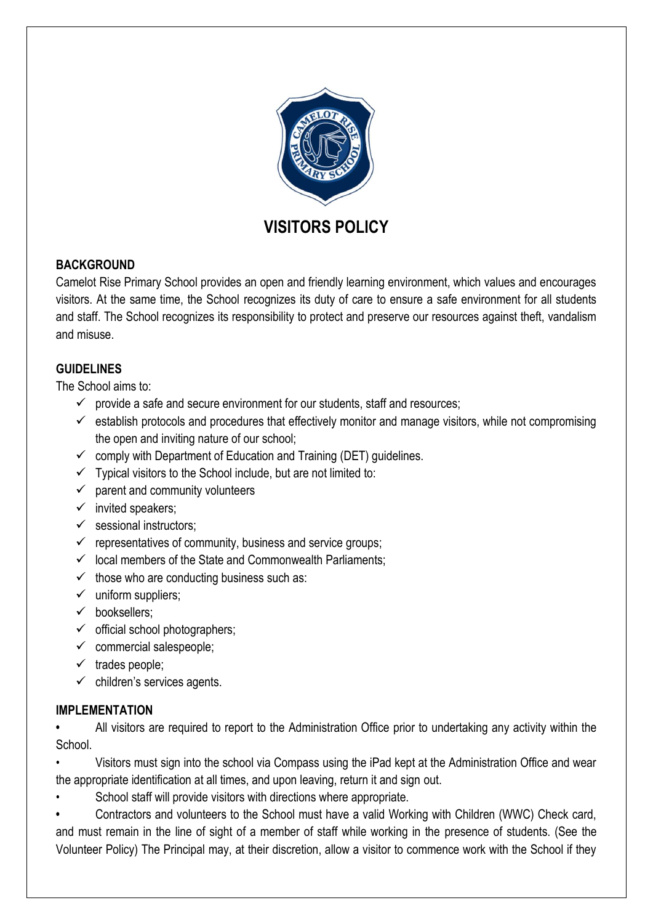

# **VISITORS POLICY**

## **BACKGROUND**

Camelot Rise Primary School provides an open and friendly learning environment, which values and encourages visitors. At the same time, the School recognizes its duty of care to ensure a safe environment for all students and staff. The School recognizes its responsibility to protect and preserve our resources against theft, vandalism and misuse.

## **GUIDELINES**

The School aims to:

- $\checkmark$  provide a safe and secure environment for our students, staff and resources;
- $\checkmark$  establish protocols and procedures that effectively monitor and manage visitors, while not compromising the open and inviting nature of our school;
- $\checkmark$  comply with Department of Education and Training (DET) guidelines.
- $\checkmark$  Typical visitors to the School include, but are not limited to:
- $\checkmark$  parent and community volunteers
- $\checkmark$  invited speakers;
- $\checkmark$  sessional instructors:
- $\checkmark$  representatives of community, business and service groups;
- $\checkmark$  local members of the State and Commonwealth Parliaments;
- $\checkmark$  those who are conducting business such as:
- $\checkmark$  uniform suppliers;
- $\checkmark$  booksellers:
- $\checkmark$  official school photographers;
- $\checkmark$  commercial salespeople;
- $\checkmark$  trades people;
- $\checkmark$  children's services agents.

## **IMPLEMENTATION**

**•** All visitors are required to report to the Administration Office prior to undertaking any activity within the **School** 

• Visitors must sign into the school via Compass using the iPad kept at the Administration Office and wear the appropriate identification at all times, and upon leaving, return it and sign out.

School staff will provide visitors with directions where appropriate.

**•** Contractors and volunteers to the School must have a valid Working with Children (WWC) Check card, and must remain in the line of sight of a member of staff while working in the presence of students. (See the Volunteer Policy) The Principal may, at their discretion, allow a visitor to commence work with the School if they